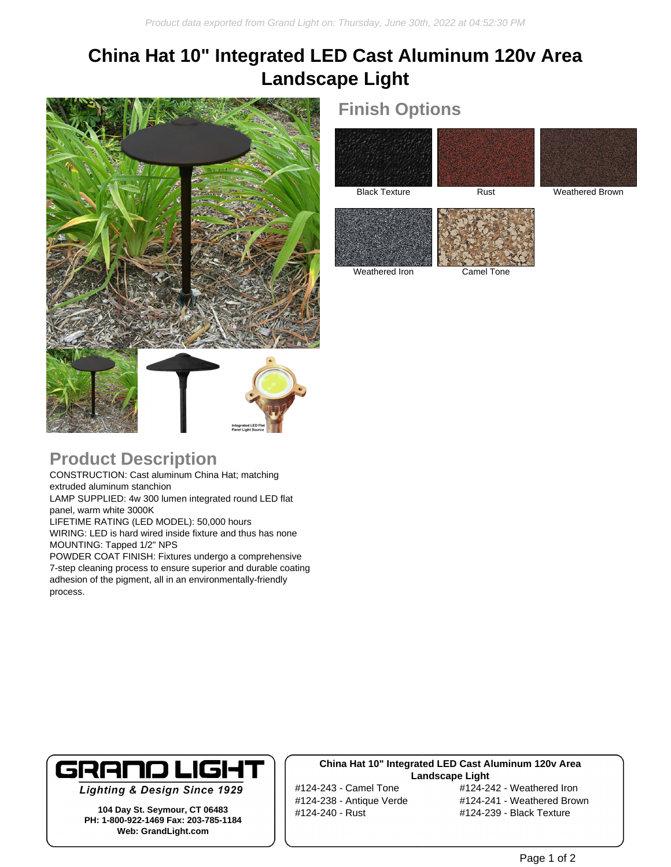# **China Hat 10" Integrated LED Cast Aluminum 120v Area Landscape Light**



### **Finish Options**





Black Texture Rust Rust Weathered Brown



Weathered Iron Camel Tone

### **Product Description**

CONSTRUCTION: Cast aluminum China Hat; matching extruded aluminum stanchion LAMP SUPPLIED: 4w 300 lumen integrated round LED flat panel, warm white 3000K LIFETIME RATING (LED MODEL): 50,000 hours WIRING: LED is hard wired inside fixture and thus has none MOUNTING: Tapped 1/2" NPS POWDER COAT FINISH: Fixtures undergo a comprehensive

7-step cleaning process to ensure superior and durable coating adhesion of the pigment, all in an environmentally-friendly process.



**Lighting & Design Since 1929** 

**104 Day St. Seymour, CT 06483 PH: 1-800-922-1469 Fax: 203-785-1184 Web: GrandLight.com**

#### **China Hat 10" Integrated LED Cast Aluminum 120v Area Landscape Light**

#124-240 - Rust #124-239 - Black Texture

#124-243 - Camel Tone #124-242 - Weathered Iron #124-238 - Antique Verde #124-241 - Weathered Brown